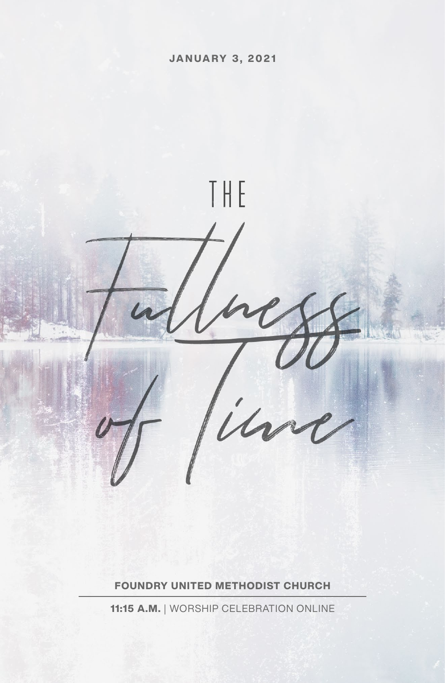

**FOUNDRY UNITED METHODIST CHURCH**

**11:15 A.M.** | WORSHIP CELEBRATION ONLINE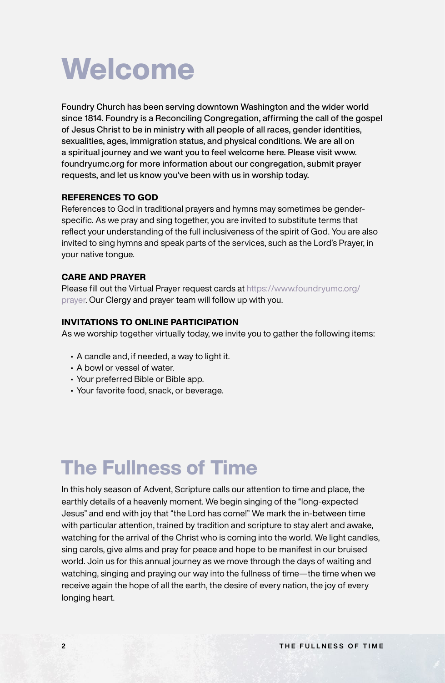

Foundry Church has been serving downtown Washington and the wider world since 1814. Foundry is a Reconciling Congregation, affirming the call of the gospel of Jesus Christ to be in ministry with all people of all races, gender identities, sexualities, ages, immigration status, and physical conditions. We are all on a spiritual journey and we want you to feel welcome here. Please visit www. foundryumc.org for more information about our congregation, submit prayer requests, and let us know you've been with us in worship today.

### **REFERENCES TO GOD**

References to God in traditional prayers and hymns may sometimes be genderspecific. As we pray and sing together, you are invited to substitute terms that reflect your understanding of the full inclusiveness of the spirit of God. You are also invited to sing hymns and speak parts of the services, such as the Lord's Prayer, in your native tongue.

#### **CARE AND PRAYER**

Please fill out the Virtual Prayer request cards at [https://www.foundryumc.org/](https://www.foundryumc.org/prayer) [prayer](https://www.foundryumc.org/prayer). Our Clergy and prayer team will follow up with you.

### **INVITATIONS TO ONLINE PARTICIPATION**

As we worship together virtually today, we invite you to gather the following items:

- A candle and, if needed, a way to light it.
- A bowl or vessel of water.
- Your preferred Bible or Bible app.
- Your favorite food, snack, or beverage.

# **The Fullness of Time**

In this holy season of Advent, Scripture calls our attention to time and place, the earthly details of a heavenly moment. We begin singing of the "long-expected Jesus" and end with joy that "the Lord has come!" We mark the in-between time with particular attention, trained by tradition and scripture to stay alert and awake, watching for the arrival of the Christ who is coming into the world. We light candles, sing carols, give alms and pray for peace and hope to be manifest in our bruised world. Join us for this annual journey as we move through the days of waiting and watching, singing and praying our way into the fullness of time—the time when we receive again the hope of all the earth, the desire of every nation, the joy of every longing heart.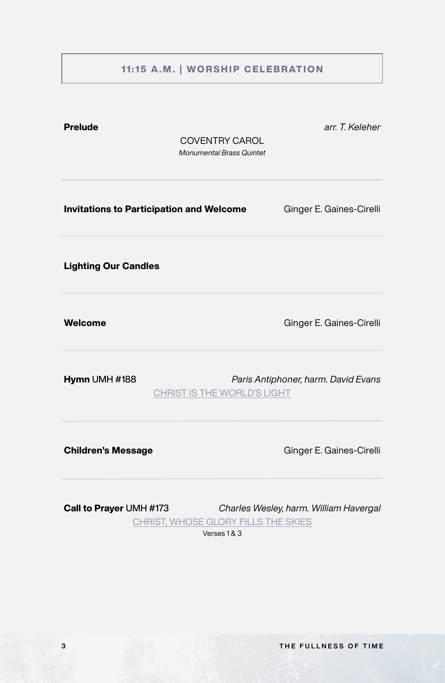## **11:15 A.M. | WORSHIP CELEBRATION**

# <span id="page-2-0"></span>**Invitations to Participation and Welcome** Ginger E. Gaines-Cirelli **Children's Message** Ginger E. Gaines-Cirelli **Welcome Ginger E. Gaines-Cirelli Lighting Our Candles Hymn** UMH #188 *Paris Antiphoner, harm. David Evans* [CHRIST IS THE WORLD'S LIGHT](#page-5-0) **Call to Prayer** UMH #173 *Charles Wesley, harm. William Havergal* [CHRIST, WHOSE GLORY FILLS THE SKIES](#page-6-0) Verses 1 & 3 **Prelude** *arr. T. Keleher* COVENTRY CAROL *Monumental Brass Quintet*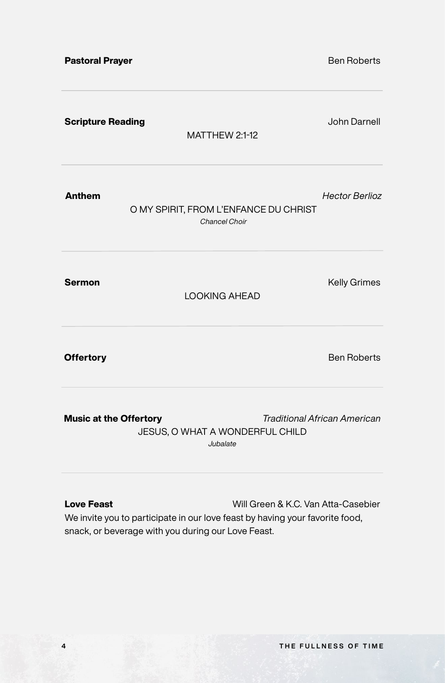| <b>Pastoral Prayer</b>        |                                                               | <b>Ben Roberts</b>                  |
|-------------------------------|---------------------------------------------------------------|-------------------------------------|
| <b>Scripture Reading</b>      | MATTHEW 2:1-12                                                | <b>John Darnell</b>                 |
| <b>Anthem</b>                 | O MY SPIRIT, FROM L'ENFANCE DU CHRIST<br><b>Chancel Choir</b> | <b>Hector Berlioz</b>               |
| <b>Sermon</b>                 | <b>LOOKING AHEAD</b>                                          | <b>Kelly Grimes</b>                 |
| <b>Offertory</b>              |                                                               | <b>Ben Roberts</b>                  |
| <b>Music at the Offertory</b> | JESUS, O WHAT A WONDERFUL CHILD<br>Jubalate                   | <b>Traditional African American</b> |
|                               |                                                               |                                     |

**Love Feast** Will Green & K.C. Van Atta-Casebier We invite you to participate in our love feast by having your favorite food, snack, or beverage with you during our Love Feast.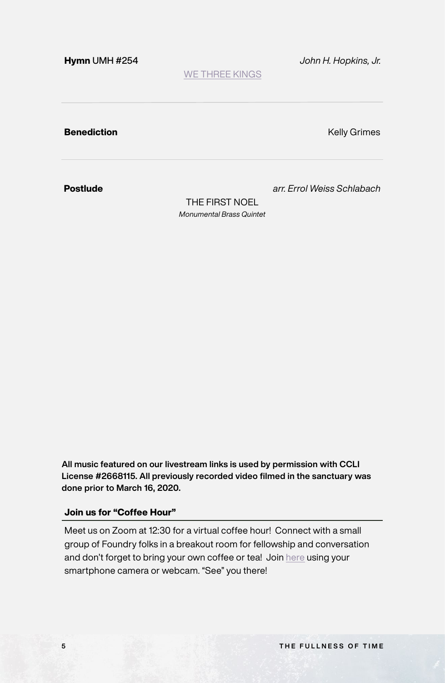<span id="page-4-0"></span>**Hymn** UMH #254 *John H. Hopkins, Jr.*

[WE THREE KINGS](#page-7-0)

**Benediction Benediction Contract Contract Contract Contract Contract Contract Contract Contract Contract Contract Contract Contract Contract Contract Contract Contract Contract Contract Contract Contract Contract Cont** 

**Postlude** *arr. Errol Weiss Schlabach*

THE FIRST NOEL *Monumental Brass Quintet*

**All music featured on our livestream links is used by permission with CCLI License #2668115. All previously recorded video filmed in the sanctuary was done prior to March 16, 2020.**

### **Join us for "Coffee Hour"**

Meet us on Zoom at 12:30 for a virtual coffee hour! Connect with a small group of Foundry folks in a breakout room for fellowship and conversation and don't forget to bring your own coffee or tea! Join [here](https://us02web.zoom.us/j/81908084034?pwd=bDZtenpkRW83YTh6YWF5bnRoOWtpQT09) using your smartphone camera or webcam. "See" you there!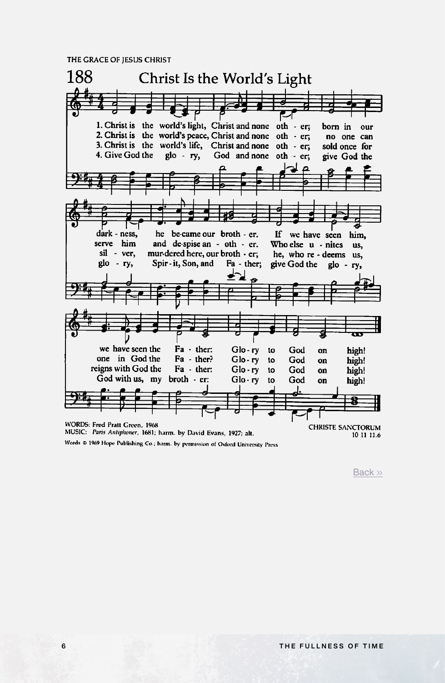<span id="page-5-0"></span>THE GRACE OF JESUS CHRIST



Words @ 1969 Hope Publishing Co.; harm. by permission of Oxford University Press

[Back](#page-2-0) »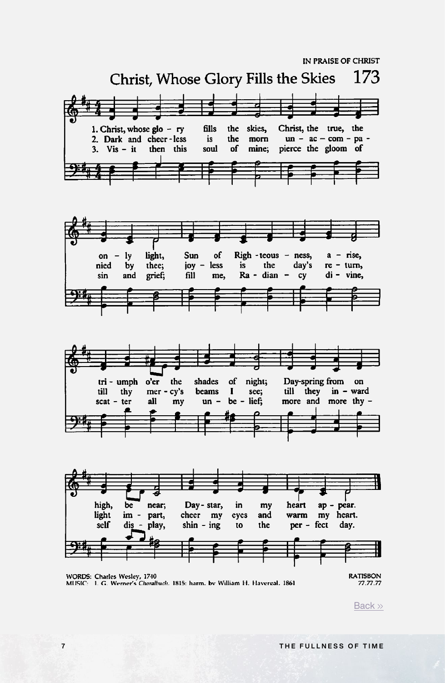<span id="page-6-0"></span>

[Back](#page-2-0) »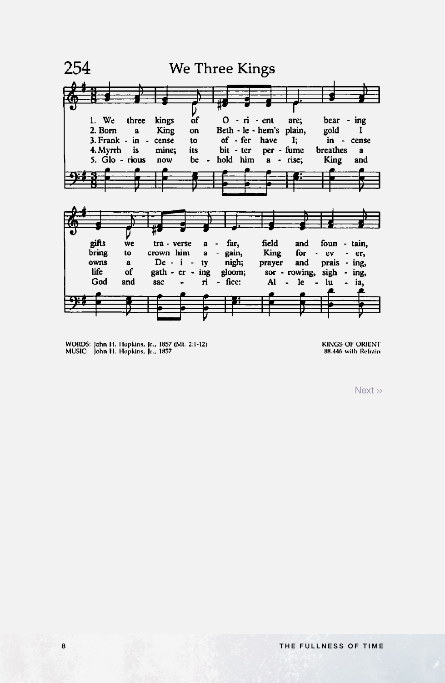<span id="page-7-0"></span>

WORDS: John H. Hopkins, Jr., 1857 (Mt. 2:1-12)<br>MUSIC: John H. Hopkins, Jr., 1857

**KINGS OF ORIENT** 88.446 with Refrain

[Next](#page-8-0) »